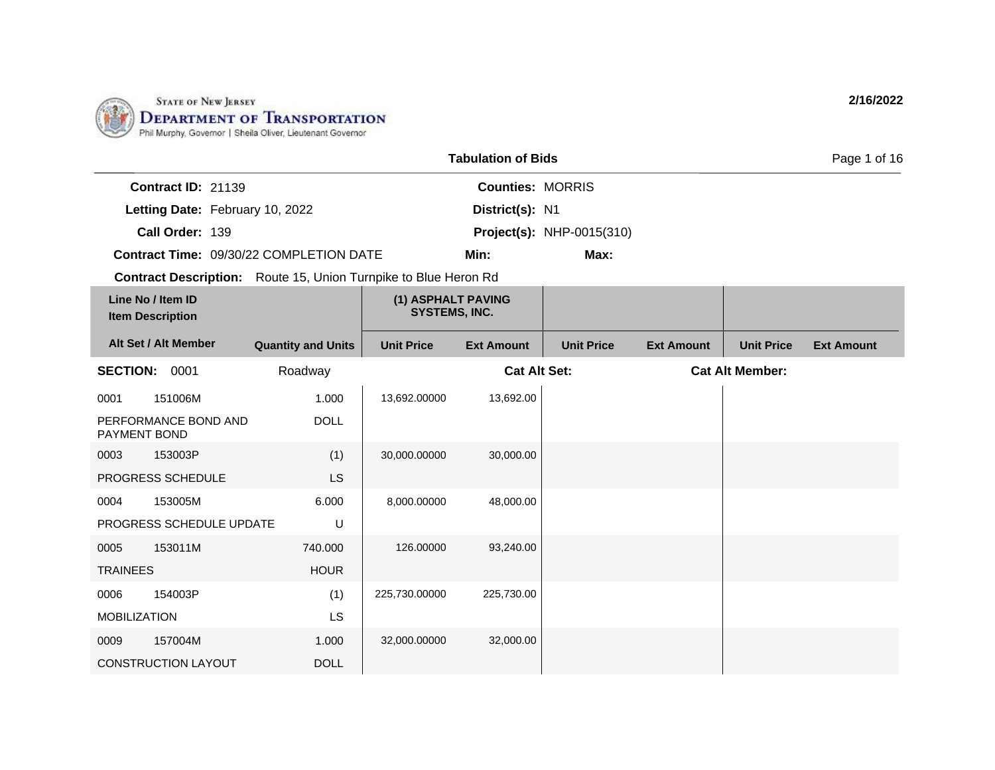

LS

1.000 DOLL

MOBILIZATION

0009 157004M

CONSTRUCTION LAYOUT

|                     |                                              |                                                                        |                                            | <b>Tabulation of Bids</b> |                                  |                   |                        | Page 1 of 16      |
|---------------------|----------------------------------------------|------------------------------------------------------------------------|--------------------------------------------|---------------------------|----------------------------------|-------------------|------------------------|-------------------|
|                     | Contract ID: 21139                           |                                                                        |                                            | <b>Counties: MORRIS</b>   |                                  |                   |                        |                   |
|                     | Letting Date: February 10, 2022              |                                                                        |                                            | District(s): N1           |                                  |                   |                        |                   |
|                     | Call Order: 139                              |                                                                        |                                            |                           | <b>Project(s): NHP-0015(310)</b> |                   |                        |                   |
|                     |                                              | <b>Contract Time: 09/30/22 COMPLETION DATE</b>                         |                                            | Min:                      | Max:                             |                   |                        |                   |
|                     |                                              | <b>Contract Description:</b> Route 15, Union Turnpike to Blue Heron Rd |                                            |                           |                                  |                   |                        |                   |
|                     | Line No / Item ID<br><b>Item Description</b> |                                                                        | (1) ASPHALT PAVING<br><b>SYSTEMS, INC.</b> |                           |                                  |                   |                        |                   |
|                     | Alt Set / Alt Member                         | <b>Quantity and Units</b>                                              | <b>Unit Price</b>                          | <b>Ext Amount</b>         | <b>Unit Price</b>                | <b>Ext Amount</b> | <b>Unit Price</b>      | <b>Ext Amount</b> |
| <b>SECTION:</b>     | 0001                                         | Roadway                                                                |                                            | <b>Cat Alt Set:</b>       |                                  |                   | <b>Cat Alt Member:</b> |                   |
| 0001                | 151006M                                      | 1.000                                                                  | 13,692.00000                               | 13,692.00                 |                                  |                   |                        |                   |
| <b>PAYMENT BOND</b> | PERFORMANCE BOND AND                         | <b>DOLL</b>                                                            |                                            |                           |                                  |                   |                        |                   |
| 0003                | 153003P                                      | (1)                                                                    | 30,000.00000                               | 30,000.00                 |                                  |                   |                        |                   |
|                     | PROGRESS SCHEDULE                            | <b>LS</b>                                                              |                                            |                           |                                  |                   |                        |                   |
| 0004                | 153005M                                      | 6.000                                                                  | 8,000.00000                                | 48,000.00                 |                                  |                   |                        |                   |
|                     | PROGRESS SCHEDULE UPDATE                     | U                                                                      |                                            |                           |                                  |                   |                        |                   |
| 0005                | 153011M                                      | 740.000                                                                | 126.00000                                  | 93,240.00                 |                                  |                   |                        |                   |
| <b>TRAINEES</b>     |                                              | <b>HOUR</b>                                                            |                                            |                           |                                  |                   |                        |                   |
| 0006                | 154003P                                      | (1)                                                                    | 225,730.00000                              | 225,730.00                |                                  |                   |                        |                   |

32,000.00000 32,000.00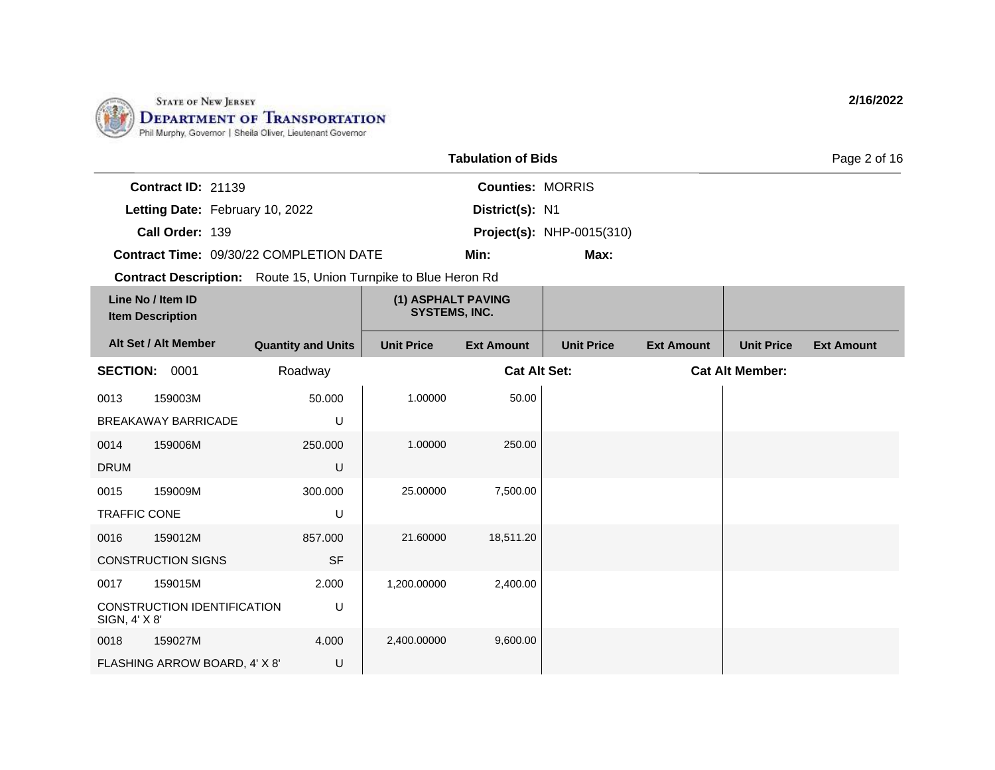

|                                                                        | <b>Tabulation of Bids</b>                  |                                  | Page 2 of 16 |
|------------------------------------------------------------------------|--------------------------------------------|----------------------------------|--------------|
| <b>Contract ID: 21139</b>                                              | <b>Counties: MORRIS</b>                    |                                  |              |
| Letting Date: February 10, 2022                                        | District(s): N1                            |                                  |              |
| Call Order: 139                                                        |                                            | <b>Project(s): NHP-0015(310)</b> |              |
| <b>Contract Time: 09/30/22 COMPLETION DATE</b>                         | Min:                                       | Max:                             |              |
| <b>Contract Description:</b> Route 15, Union Turnpike to Blue Heron Rd |                                            |                                  |              |
| Line No / Item ID<br><b>Item Description</b>                           | (1) ASPHALT PAVING<br><b>SYSTEMS, INC.</b> |                                  |              |

| Alt Set / Alt Member                         | <b>Quantity and Units</b> | <b>Unit Price</b>   | <b>Ext Amount</b> | <b>Unit Price</b> | <b>Ext Amount</b>      | <b>Unit Price</b> | <b>Ext Amount</b> |
|----------------------------------------------|---------------------------|---------------------|-------------------|-------------------|------------------------|-------------------|-------------------|
| <b>SECTION:</b><br>0001                      | Roadway                   | <b>Cat Alt Set:</b> |                   |                   | <b>Cat Alt Member:</b> |                   |                   |
| 0013<br>159003M                              | 50.000                    | 1.00000             | 50.00             |                   |                        |                   |                   |
| <b>BREAKAWAY BARRICADE</b>                   | U                         |                     |                   |                   |                        |                   |                   |
| 0014<br>159006M                              | 250.000                   | 1.00000             | 250.00            |                   |                        |                   |                   |
| <b>DRUM</b>                                  | U                         |                     |                   |                   |                        |                   |                   |
| 0015<br>159009M                              | 300.000                   | 25.00000            | 7,500.00          |                   |                        |                   |                   |
| <b>TRAFFIC CONE</b>                          | U                         |                     |                   |                   |                        |                   |                   |
| 0016<br>159012M                              | 857.000                   | 21.60000            | 18,511.20         |                   |                        |                   |                   |
| <b>CONSTRUCTION SIGNS</b>                    | <b>SF</b>                 |                     |                   |                   |                        |                   |                   |
| 159015M<br>0017                              | 2.000                     | 1,200.00000         | 2,400.00          |                   |                        |                   |                   |
| CONSTRUCTION IDENTIFICATION<br>SIGN, 4' X 8' | U                         |                     |                   |                   |                        |                   |                   |
| 0018<br>159027M                              | 4.000                     | 2,400.00000         | 9,600.00          |                   |                        |                   |                   |
| FLASHING ARROW BOARD, 4' X 8'                | U                         |                     |                   |                   |                        |                   |                   |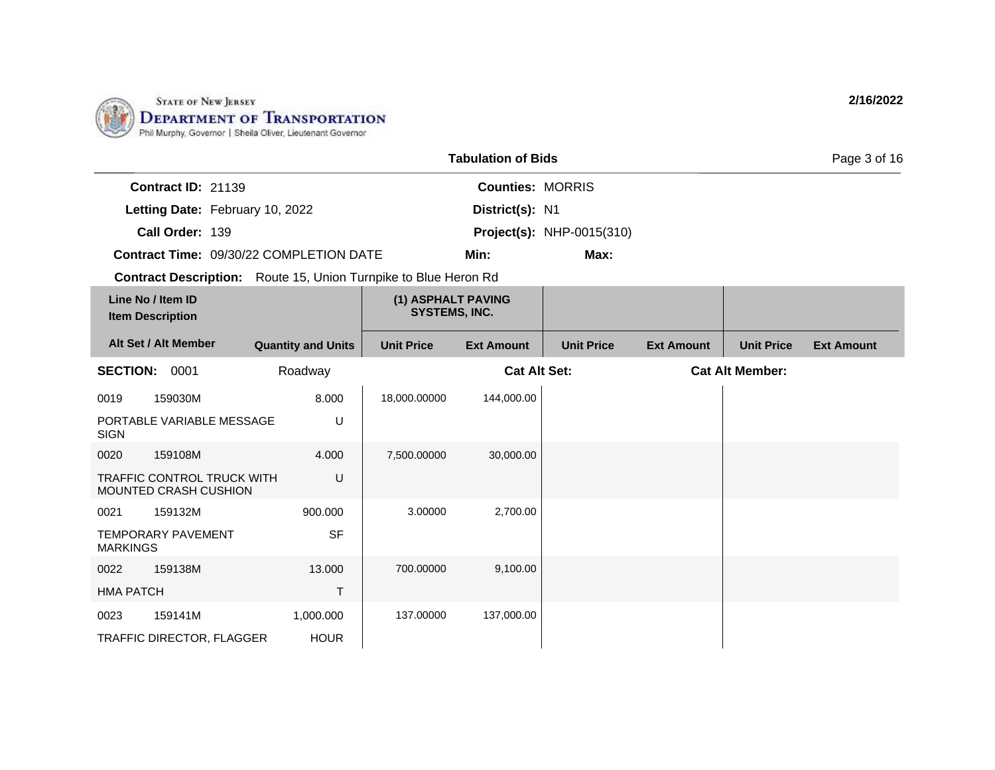

|                                                                        |                                                            |                                                |                                            | <b>Tabulation of Bids</b> |                                  |                   |                        | Page 3 of 16      |
|------------------------------------------------------------------------|------------------------------------------------------------|------------------------------------------------|--------------------------------------------|---------------------------|----------------------------------|-------------------|------------------------|-------------------|
|                                                                        | Contract ID: 21139                                         |                                                |                                            | <b>Counties: MORRIS</b>   |                                  |                   |                        |                   |
|                                                                        | Letting Date: February 10, 2022                            |                                                |                                            | District(s): N1           |                                  |                   |                        |                   |
|                                                                        | Call Order: 139                                            |                                                |                                            |                           | <b>Project(s): NHP-0015(310)</b> |                   |                        |                   |
|                                                                        |                                                            | <b>Contract Time: 09/30/22 COMPLETION DATE</b> |                                            | Min:                      | Max:                             |                   |                        |                   |
| <b>Contract Description:</b> Route 15, Union Turnpike to Blue Heron Rd |                                                            |                                                |                                            |                           |                                  |                   |                        |                   |
| Line No / Item ID<br><b>Item Description</b>                           |                                                            |                                                | (1) ASPHALT PAVING<br><b>SYSTEMS, INC.</b> |                           |                                  |                   |                        |                   |
| Alt Set / Alt Member                                                   |                                                            | <b>Quantity and Units</b>                      | <b>Unit Price</b>                          | <b>Ext Amount</b>         | <b>Unit Price</b>                | <b>Ext Amount</b> | <b>Unit Price</b>      | <b>Ext Amount</b> |
| <b>SECTION: 0001</b>                                                   |                                                            | Roadway                                        |                                            | <b>Cat Alt Set:</b>       |                                  |                   | <b>Cat Alt Member:</b> |                   |
| 0019                                                                   | 159030M                                                    | 8.000                                          | 18,000.00000                               | 144,000.00                |                                  |                   |                        |                   |
| <b>SIGN</b>                                                            | PORTABLE VARIABLE MESSAGE                                  | U                                              |                                            |                           |                                  |                   |                        |                   |
| 0020                                                                   | 159108M                                                    | 4.000                                          | 7,500.00000                                | 30,000.00                 |                                  |                   |                        |                   |
|                                                                        | <b>TRAFFIC CONTROL TRUCK WITH</b><br>MOUNTED CRASH CUSHION | U                                              |                                            |                           |                                  |                   |                        |                   |
| 0021                                                                   | 159132M                                                    | 900.000                                        | 3.00000                                    | 2,700.00                  |                                  |                   |                        |                   |
| <b>MARKINGS</b>                                                        | <b>TEMPORARY PAVEMENT</b>                                  | <b>SF</b>                                      |                                            |                           |                                  |                   |                        |                   |
| 0022                                                                   | 159138M                                                    | 13.000                                         | 700.00000                                  | 9,100.00                  |                                  |                   |                        |                   |
| <b>HMA PATCH</b>                                                       |                                                            | $\mathsf{T}$                                   |                                            |                           |                                  |                   |                        |                   |
| 0023                                                                   | 159141M                                                    | 1,000.000                                      | 137.00000                                  | 137,000.00                |                                  |                   |                        |                   |
|                                                                        | TRAFFIC DIRECTOR, FLAGGER                                  | <b>HOUR</b>                                    |                                            |                           |                                  |                   |                        |                   |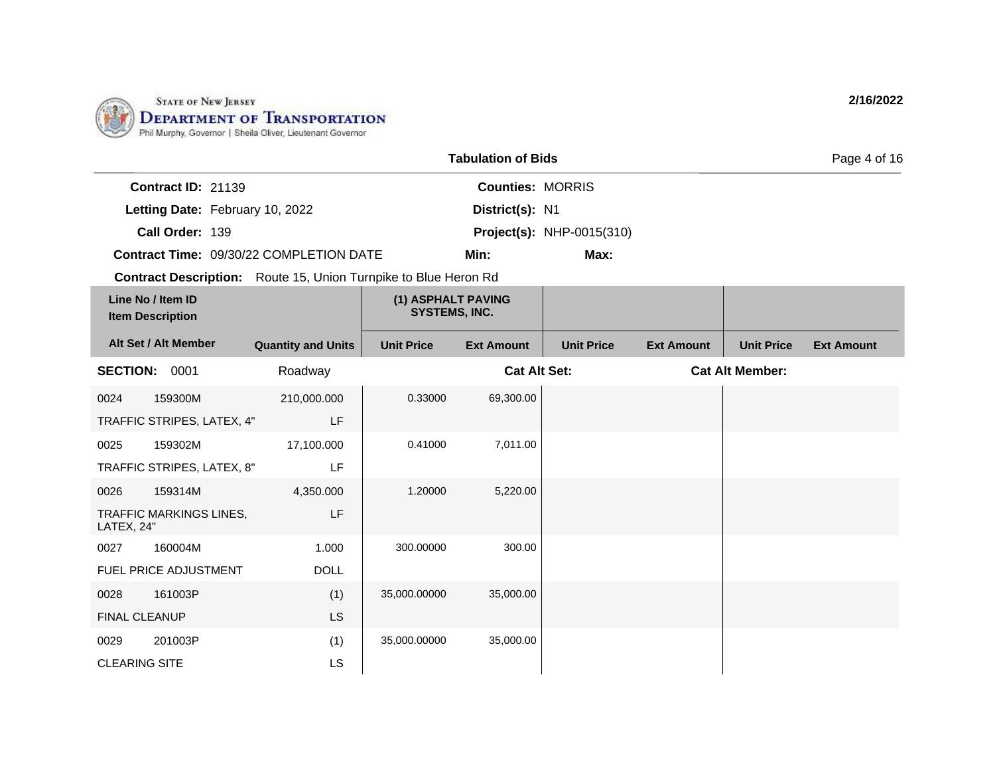

|                      |                                              |                                                                 |                                            | <b>Tabulation of Bids</b> |                                  |                   |                        | Page 4 of 16      |
|----------------------|----------------------------------------------|-----------------------------------------------------------------|--------------------------------------------|---------------------------|----------------------------------|-------------------|------------------------|-------------------|
|                      | Contract ID: 21139                           |                                                                 |                                            | <b>Counties: MORRIS</b>   |                                  |                   |                        |                   |
|                      | Letting Date: February 10, 2022              |                                                                 |                                            | District(s): N1           |                                  |                   |                        |                   |
|                      | Call Order: 139                              |                                                                 |                                            |                           | <b>Project(s): NHP-0015(310)</b> |                   |                        |                   |
|                      |                                              | Contract Time: 09/30/22 COMPLETION DATE                         |                                            | Min:                      | Max:                             |                   |                        |                   |
|                      |                                              | Contract Description: Route 15, Union Turnpike to Blue Heron Rd |                                            |                           |                                  |                   |                        |                   |
|                      | Line No / Item ID<br><b>Item Description</b> |                                                                 | (1) ASPHALT PAVING<br><b>SYSTEMS, INC.</b> |                           |                                  |                   |                        |                   |
|                      | Alt Set / Alt Member                         | <b>Quantity and Units</b>                                       | <b>Unit Price</b>                          | <b>Ext Amount</b>         | <b>Unit Price</b>                | <b>Ext Amount</b> | <b>Unit Price</b>      | <b>Ext Amount</b> |
|                      | <b>SECTION: 0001</b>                         | Roadway                                                         |                                            | <b>Cat Alt Set:</b>       |                                  |                   | <b>Cat Alt Member:</b> |                   |
| 0024                 | 159300M                                      | 210,000.000                                                     | 0.33000                                    | 69,300.00                 |                                  |                   |                        |                   |
|                      | TRAFFIC STRIPES, LATEX, 4"                   | <b>LF</b>                                                       |                                            |                           |                                  |                   |                        |                   |
| 0025                 | 159302M                                      | 17,100.000                                                      | 0.41000                                    | 7,011.00                  |                                  |                   |                        |                   |
|                      | TRAFFIC STRIPES, LATEX, 8"                   | LF                                                              |                                            |                           |                                  |                   |                        |                   |
| 0026                 | 159314M                                      | 4,350.000                                                       | 1.20000                                    | 5,220.00                  |                                  |                   |                        |                   |
| LATEX, 24"           | TRAFFIC MARKINGS LINES,                      | LF                                                              |                                            |                           |                                  |                   |                        |                   |
| 0027                 | 160004M                                      | 1.000                                                           | 300.00000                                  | 300.00                    |                                  |                   |                        |                   |
|                      | FUEL PRICE ADJUSTMENT                        | <b>DOLL</b>                                                     |                                            |                           |                                  |                   |                        |                   |
| 0028                 | 161003P                                      | (1)                                                             | 35,000.00000                               | 35,000.00                 |                                  |                   |                        |                   |
| <b>FINAL CLEANUP</b> |                                              | <b>LS</b>                                                       |                                            |                           |                                  |                   |                        |                   |
| 0029                 | 201003P                                      | (1)                                                             | 35,000.00000                               | 35,000.00                 |                                  |                   |                        |                   |
| <b>CLEARING SITE</b> |                                              | LS                                                              |                                            |                           |                                  |                   |                        |                   |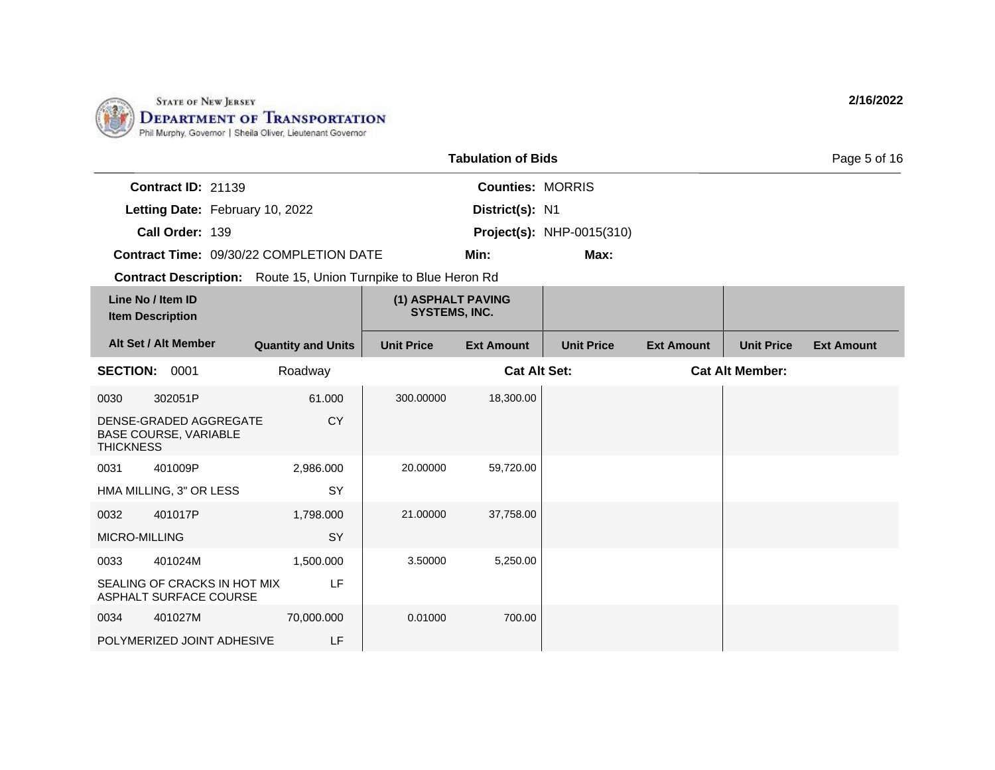

|                           |                                                | Page 5 of 16            |                                  |  |
|---------------------------|------------------------------------------------|-------------------------|----------------------------------|--|
| <b>Contract ID: 21139</b> |                                                | <b>Counties: MORRIS</b> |                                  |  |
|                           | Letting Date: February 10, 2022                | District(s): N1         |                                  |  |
| Call Order: 139           |                                                |                         | <b>Project(s): NHP-0015(310)</b> |  |
|                           | <b>Contract Time: 09/30/22 COMPLETION DATE</b> | Min:                    | Max:                             |  |

**Contract Description:** Route 15, Union Turnpike to Blue Heron Rd

|                  | Line No / Item ID<br><b>Item Description</b>           |                           | (1) ASPHALT PAVING<br><b>SYSTEMS, INC.</b> |                     |                   |                   |                        |                   |
|------------------|--------------------------------------------------------|---------------------------|--------------------------------------------|---------------------|-------------------|-------------------|------------------------|-------------------|
|                  | Alt Set / Alt Member                                   | <b>Quantity and Units</b> | <b>Unit Price</b>                          | <b>Ext Amount</b>   | <b>Unit Price</b> | <b>Ext Amount</b> | <b>Unit Price</b>      | <b>Ext Amount</b> |
| <b>SECTION:</b>  | 0001                                                   | Roadway                   |                                            | <b>Cat Alt Set:</b> |                   |                   | <b>Cat Alt Member:</b> |                   |
| 0030             | 302051P                                                | 61.000                    | 300.00000                                  | 18,300.00           |                   |                   |                        |                   |
| <b>THICKNESS</b> | DENSE-GRADED AGGREGATE<br><b>BASE COURSE, VARIABLE</b> | CY                        |                                            |                     |                   |                   |                        |                   |
| 0031             | 401009P                                                | 2,986.000                 | 20,00000                                   | 59,720.00           |                   |                   |                        |                   |
|                  | HMA MILLING, 3" OR LESS                                | <b>SY</b>                 |                                            |                     |                   |                   |                        |                   |
| 0032             | 401017P                                                | 1,798.000                 | 21.00000                                   | 37,758.00           |                   |                   |                        |                   |
| MICRO-MILLING    |                                                        | SY                        |                                            |                     |                   |                   |                        |                   |
| 0033             | 401024M                                                | 1,500.000                 | 3.50000                                    | 5,250.00            |                   |                   |                        |                   |
|                  | SEALING OF CRACKS IN HOT MIX<br>ASPHALT SURFACE COURSE | LF                        |                                            |                     |                   |                   |                        |                   |
| 0034             | 401027M                                                | 70,000.000                | 0.01000                                    | 700.00              |                   |                   |                        |                   |
|                  | POLYMERIZED JOINT ADHESIVE                             | LF                        |                                            |                     |                   |                   |                        |                   |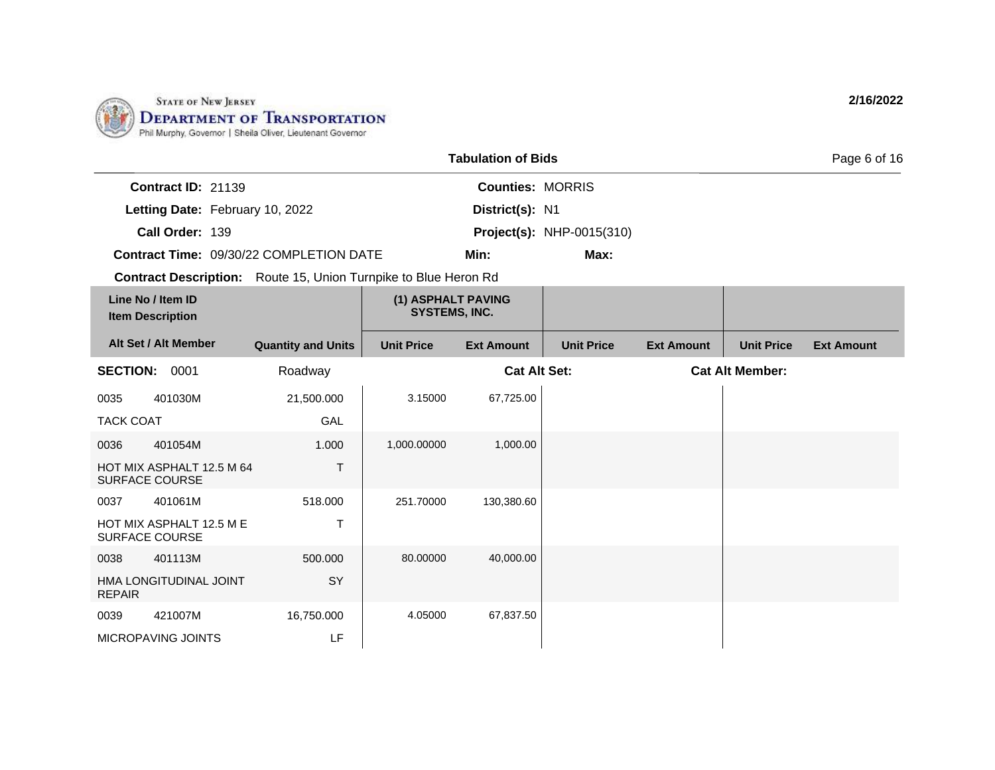

|                                         |                                                    |                                                                        |                                            | <b>Tabulation of Bids</b> |                                  |                   |                        | Page 6 of 16      |
|-----------------------------------------|----------------------------------------------------|------------------------------------------------------------------------|--------------------------------------------|---------------------------|----------------------------------|-------------------|------------------------|-------------------|
|                                         | <b>Contract ID: 21139</b>                          |                                                                        |                                            | <b>Counties: MORRIS</b>   |                                  |                   |                        |                   |
|                                         | Letting Date: February 10, 2022                    |                                                                        |                                            | District(s): N1           |                                  |                   |                        |                   |
|                                         | Call Order: 139                                    |                                                                        |                                            |                           | <b>Project(s): NHP-0015(310)</b> |                   |                        |                   |
| Contract Time: 09/30/22 COMPLETION DATE |                                                    |                                                                        |                                            | Min:                      | Max:                             |                   |                        |                   |
|                                         |                                                    | <b>Contract Description:</b> Route 15, Union Turnpike to Blue Heron Rd |                                            |                           |                                  |                   |                        |                   |
|                                         | Line No / Item ID<br><b>Item Description</b>       |                                                                        | (1) ASPHALT PAVING<br><b>SYSTEMS, INC.</b> |                           |                                  |                   |                        |                   |
|                                         | Alt Set / Alt Member                               | <b>Quantity and Units</b>                                              | <b>Unit Price</b>                          | <b>Ext Amount</b>         | <b>Unit Price</b>                | <b>Ext Amount</b> | <b>Unit Price</b>      | <b>Ext Amount</b> |
| <b>SECTION:</b>                         | 0001                                               | Roadway                                                                |                                            | <b>Cat Alt Set:</b>       |                                  |                   | <b>Cat Alt Member:</b> |                   |
| 0035                                    | 401030M                                            | 21,500.000                                                             | 3.15000                                    | 67,725.00                 |                                  |                   |                        |                   |
| <b>TACK COAT</b>                        |                                                    | GAL                                                                    |                                            |                           |                                  |                   |                        |                   |
| 0036                                    | 401054M                                            | 1.000                                                                  | 1,000.00000                                | 1,000.00                  |                                  |                   |                        |                   |
|                                         | HOT MIX ASPHALT 12.5 M 64<br><b>SURFACE COURSE</b> | Τ                                                                      |                                            |                           |                                  |                   |                        |                   |
| 0037                                    | 401061M                                            | 518.000                                                                | 251.70000                                  | 130,380.60                |                                  |                   |                        |                   |
|                                         | HOT MIX ASPHALT 12.5 M E<br><b>SURFACE COURSE</b>  | $\mathsf{T}$                                                           |                                            |                           |                                  |                   |                        |                   |
| 0038                                    | 401113M                                            | 500.000                                                                | 80.00000                                   | 40,000.00                 |                                  |                   |                        |                   |
| <b>REPAIR</b>                           | HMA LONGITUDINAL JOINT                             | SY                                                                     |                                            |                           |                                  |                   |                        |                   |
| 0039                                    | 421007M                                            | 16,750.000                                                             | 4.05000                                    | 67,837.50                 |                                  |                   |                        |                   |
|                                         | MICROPAVING JOINTS                                 | LF                                                                     |                                            |                           |                                  |                   |                        |                   |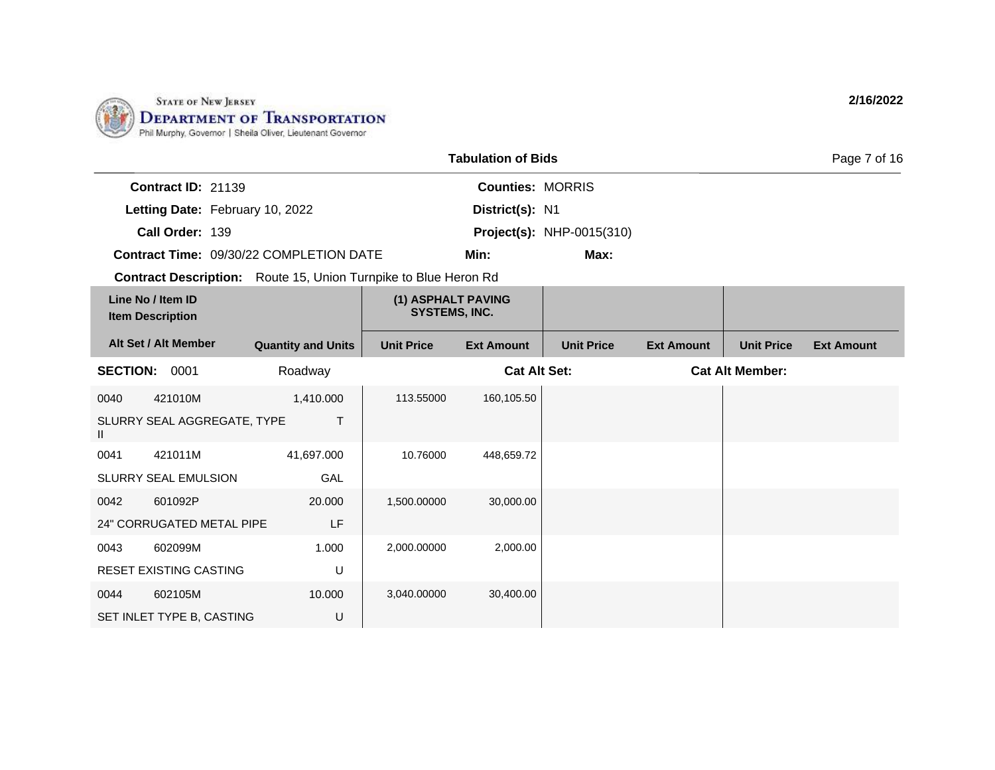

|                                                                        |                           |                                            | <b>Tabulation of Bids</b> |                                  |                   |                   | Page 7 of 16      |
|------------------------------------------------------------------------|---------------------------|--------------------------------------------|---------------------------|----------------------------------|-------------------|-------------------|-------------------|
| Contract ID: 21139                                                     |                           |                                            | <b>Counties: MORRIS</b>   |                                  |                   |                   |                   |
| Letting Date: February 10, 2022                                        |                           |                                            | District(s): N1           |                                  |                   |                   |                   |
| Call Order: 139                                                        |                           |                                            |                           | <b>Project(s): NHP-0015(310)</b> |                   |                   |                   |
| <b>Contract Time: 09/30/22 COMPLETION DATE</b>                         |                           |                                            | Min:                      | Max:                             |                   |                   |                   |
| <b>Contract Description:</b> Route 15, Union Turnpike to Blue Heron Rd |                           |                                            |                           |                                  |                   |                   |                   |
| Line No / Item ID<br><b>Item Description</b>                           |                           | (1) ASPHALT PAVING<br><b>SYSTEMS, INC.</b> |                           |                                  |                   |                   |                   |
| Alt Set / Alt Member                                                   | <b>Quantity and Units</b> | <b>Unit Price</b>                          | <b>Ext Amount</b>         | <b>Unit Price</b>                | <b>Ext Amount</b> | <b>Unit Price</b> | <b>Ext Amount</b> |
| <b>SECTION: 0001</b>                                                   | Roadway                   | <b>Cat Alt Set:</b>                        |                           | <b>Cat Alt Member:</b>           |                   |                   |                   |
| 421010M<br>0040                                                        | 1,410.000                 | 113.55000                                  | 160,105.50                |                                  |                   |                   |                   |
| SLURRY SEAL AGGREGATE, TYPE<br>$\mathbf{II}$                           | T                         |                                            |                           |                                  |                   |                   |                   |
| 421011M<br>0041                                                        | 41,697.000                | 10.76000                                   | 448,659.72                |                                  |                   |                   |                   |
| <b>SLURRY SEAL EMULSION</b>                                            | GAL                       |                                            |                           |                                  |                   |                   |                   |
| 601092P<br>0042                                                        | 20,000                    | 1,500.00000                                | 30,000.00                 |                                  |                   |                   |                   |
| 24" CORRUGATED METAL PIPE                                              | LF                        |                                            |                           |                                  |                   |                   |                   |
| 602099M<br>0043                                                        | 1.000                     | 2,000.00000                                | 2,000.00                  |                                  |                   |                   |                   |
| <b>RESET EXISTING CASTING</b>                                          | U                         |                                            |                           |                                  |                   |                   |                   |
| 0044<br>602105M                                                        | 10.000                    | 3,040.00000                                | 30,400.00                 |                                  |                   |                   |                   |
| SET INLET TYPE B, CASTING                                              | U                         |                                            |                           |                                  |                   |                   |                   |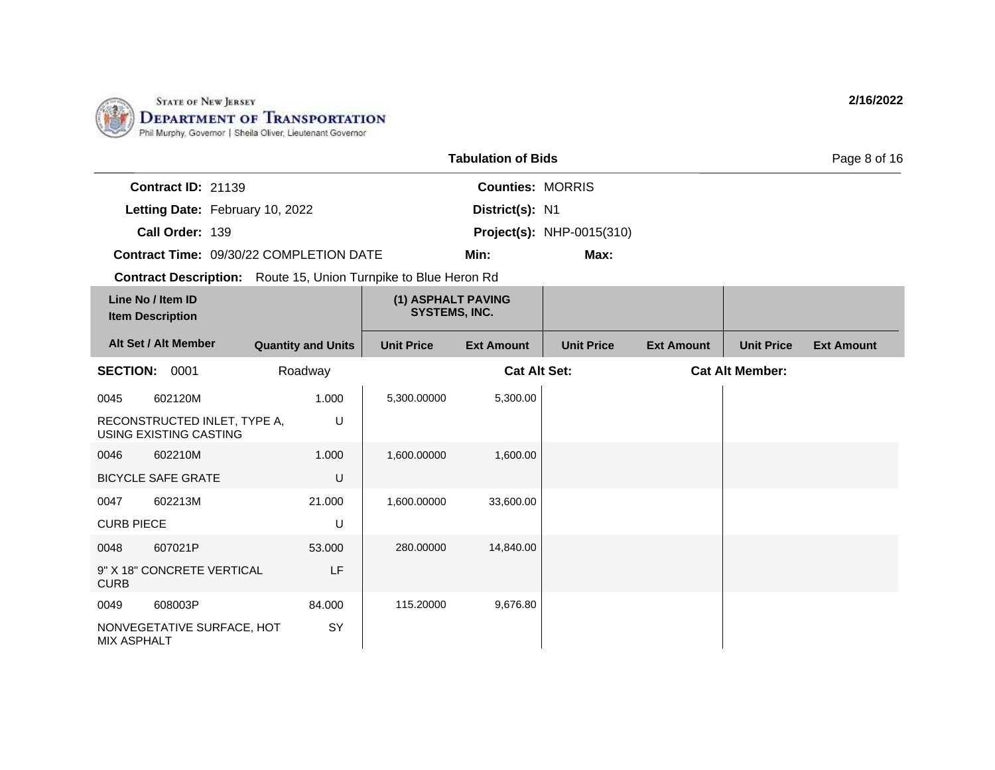

|                                              | <b>Tabulation of Bids</b>                                              |                                            |                                  |                   |                        |                   |  |
|----------------------------------------------|------------------------------------------------------------------------|--------------------------------------------|----------------------------------|-------------------|------------------------|-------------------|--|
| <b>Contract ID: 21139</b>                    |                                                                        | <b>Counties: MORRIS</b>                    |                                  |                   |                        |                   |  |
|                                              | Letting Date: February 10, 2022                                        | District(s): N1                            |                                  |                   |                        |                   |  |
| Call Order: 139                              |                                                                        |                                            | <b>Project(s): NHP-0015(310)</b> |                   |                        |                   |  |
|                                              | <b>Contract Time: 09/30/22 COMPLETION DATE</b>                         | Min:                                       | Max:                             |                   |                        |                   |  |
|                                              | <b>Contract Description:</b> Route 15, Union Turnpike to Blue Heron Rd |                                            |                                  |                   |                        |                   |  |
| Line No / Item ID<br><b>Item Description</b> |                                                                        | (1) ASPHALT PAVING<br><b>SYSTEMS, INC.</b> |                                  |                   |                        |                   |  |
| Alt Set / Alt Member                         | <b>Quantity and Units</b>                                              | <b>Unit Price</b><br><b>Ext Amount</b>     | <b>Unit Price</b>                | <b>Ext Amount</b> | <b>Unit Price</b>      | <b>Ext Amount</b> |  |
| <b>SECTION:</b><br>0001                      | Roadway                                                                | <b>Cat Alt Set:</b>                        |                                  |                   | <b>Cat Alt Member:</b> |                   |  |

| <b>SECTION:</b>    | 0001                                                   | Roadway |             | <b>Cat Alt Set:</b> | <b>Cat Alt Member:</b> |
|--------------------|--------------------------------------------------------|---------|-------------|---------------------|------------------------|
| 0045               | 602120M                                                | 1.000   | 5,300.00000 | 5,300.00            |                        |
|                    | RECONSTRUCTED INLET, TYPE A,<br>USING EXISTING CASTING | U       |             |                     |                        |
| 0046               | 602210M                                                | 1.000   | 1,600.00000 | 1,600.00            |                        |
|                    | <b>BICYCLE SAFE GRATE</b>                              | U       |             |                     |                        |
| 0047               | 602213M                                                | 21.000  | 1,600.00000 | 33,600.00           |                        |
| <b>CURB PIECE</b>  |                                                        | U       |             |                     |                        |
| 0048               | 607021P                                                | 53.000  | 280.00000   | 14,840.00           |                        |
| <b>CURB</b>        | 9" X 18" CONCRETE VERTICAL                             | LF      |             |                     |                        |
| 0049               | 608003P                                                | 84.000  | 115.20000   | 9,676.80            |                        |
| <b>MIX ASPHALT</b> | NONVEGETATIVE SURFACE, HOT                             | SY      |             |                     |                        |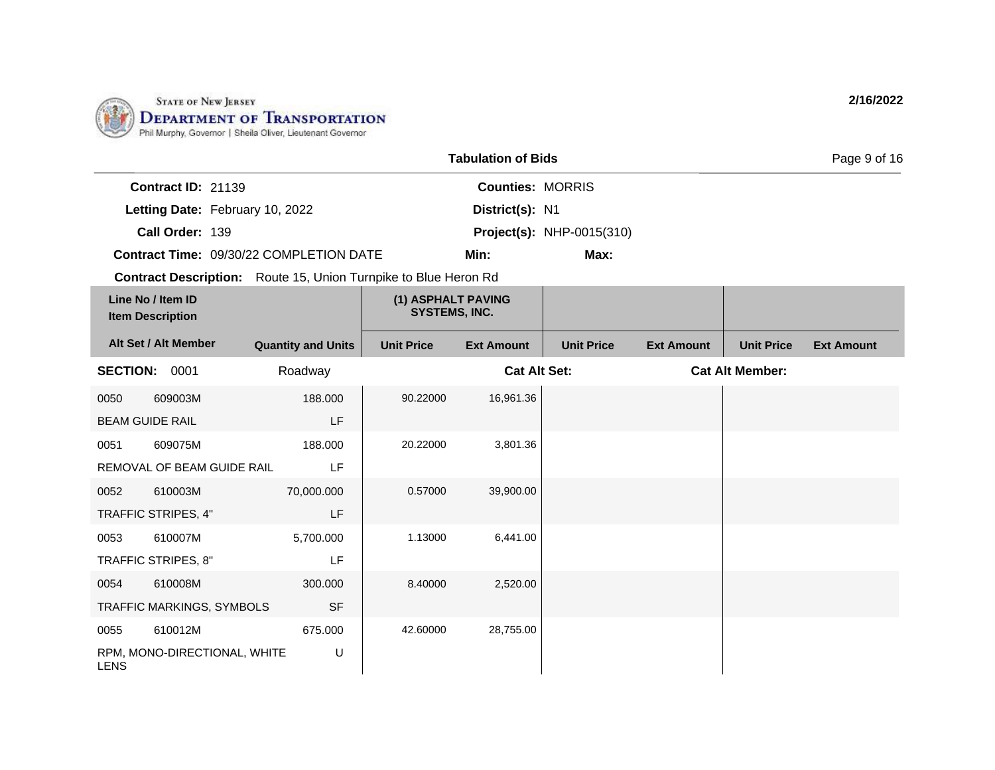

|                           |                                                                        | <b>Tabulation of Bids</b> |                                  | Page 9 of 16 |
|---------------------------|------------------------------------------------------------------------|---------------------------|----------------------------------|--------------|
| <b>Contract ID: 21139</b> |                                                                        | <b>Counties: MORRIS</b>   |                                  |              |
|                           | Letting Date: February 10, 2022                                        | District(s): N1           |                                  |              |
| Call Order: 139           |                                                                        |                           | <b>Project(s): NHP-0015(310)</b> |              |
|                           | <b>Contract Time: 09/30/22 COMPLETION DATE</b>                         | Min:                      | Max:                             |              |
|                           | <b>Contract Description:</b> Route 15, Union Turnpike to Blue Heron Rd |                           |                                  |              |
|                           |                                                                        |                           |                                  |              |

| Line No / Item ID<br><b>Item Description</b> |                              | (1) ASPHALT PAVING<br><b>SYSTEMS, INC.</b> |                   |                     |                   |                   |                        |                   |
|----------------------------------------------|------------------------------|--------------------------------------------|-------------------|---------------------|-------------------|-------------------|------------------------|-------------------|
|                                              | Alt Set / Alt Member         | <b>Quantity and Units</b>                  | <b>Unit Price</b> | <b>Ext Amount</b>   | <b>Unit Price</b> | <b>Ext Amount</b> | <b>Unit Price</b>      | <b>Ext Amount</b> |
| <b>SECTION: 0001</b>                         |                              | Roadway                                    |                   | <b>Cat Alt Set:</b> |                   |                   | <b>Cat Alt Member:</b> |                   |
| 0050                                         | 609003M                      | 188.000                                    | 90.22000          | 16,961.36           |                   |                   |                        |                   |
| <b>BEAM GUIDE RAIL</b>                       |                              | LF                                         |                   |                     |                   |                   |                        |                   |
| 0051                                         | 609075M                      | 188.000                                    | 20.22000          | 3,801.36            |                   |                   |                        |                   |
|                                              | REMOVAL OF BEAM GUIDE RAIL   | LF                                         |                   |                     |                   |                   |                        |                   |
| 0052                                         | 610003M                      | 70,000.000                                 | 0.57000           | 39,900.00           |                   |                   |                        |                   |
|                                              | TRAFFIC STRIPES, 4"          | LF                                         |                   |                     |                   |                   |                        |                   |
| 0053                                         | 610007M                      | 5,700.000                                  | 1.13000           | 6,441.00            |                   |                   |                        |                   |
|                                              | TRAFFIC STRIPES, 8"          | LF                                         |                   |                     |                   |                   |                        |                   |
| 0054                                         | 610008M                      | 300.000                                    | 8.40000           | 2,520.00            |                   |                   |                        |                   |
|                                              | TRAFFIC MARKINGS, SYMBOLS    | <b>SF</b>                                  |                   |                     |                   |                   |                        |                   |
| 0055                                         | 610012M                      | 675.000                                    | 42.60000          | 28,755.00           |                   |                   |                        |                   |
| <b>LENS</b>                                  | RPM, MONO-DIRECTIONAL, WHITE | U                                          |                   |                     |                   |                   |                        |                   |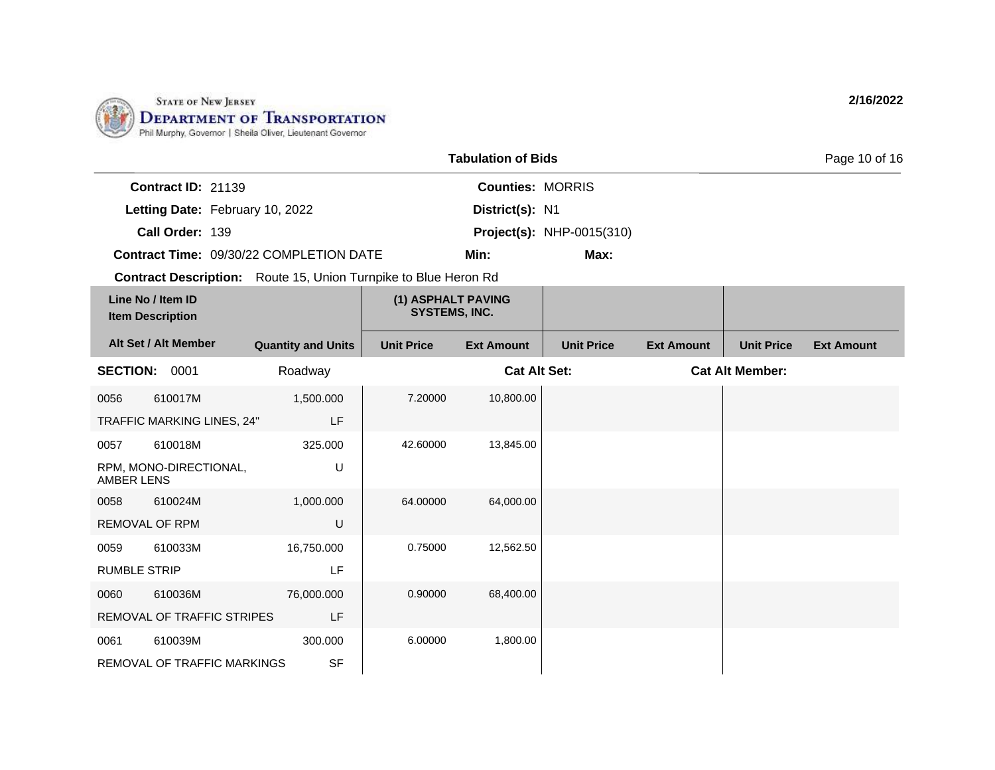

0061 610039M

REMOVAL OF TRAFFIC MARKINGS

300.000

SF

|                                                                        |                           |                                            | <b>Tabulation of Bids</b> |                                  |                   |                        | Page 10 of 16     |
|------------------------------------------------------------------------|---------------------------|--------------------------------------------|---------------------------|----------------------------------|-------------------|------------------------|-------------------|
| Contract ID: 21139                                                     |                           |                                            | <b>Counties: MORRIS</b>   |                                  |                   |                        |                   |
| Letting Date: February 10, 2022                                        |                           |                                            | District(s): N1           |                                  |                   |                        |                   |
| Call Order: 139                                                        |                           |                                            |                           | <b>Project(s): NHP-0015(310)</b> |                   |                        |                   |
| Contract Time: 09/30/22 COMPLETION DATE                                |                           |                                            | Min:                      | Max:                             |                   |                        |                   |
| <b>Contract Description:</b> Route 15, Union Turnpike to Blue Heron Rd |                           |                                            |                           |                                  |                   |                        |                   |
| Line No / Item ID<br><b>Item Description</b>                           |                           | (1) ASPHALT PAVING<br><b>SYSTEMS, INC.</b> |                           |                                  |                   |                        |                   |
| Alt Set / Alt Member                                                   | <b>Quantity and Units</b> | <b>Unit Price</b>                          | <b>Ext Amount</b>         | <b>Unit Price</b>                | <b>Ext Amount</b> | <b>Unit Price</b>      | <b>Ext Amount</b> |
| <b>SECTION:</b><br>0001                                                | Roadway                   |                                            | <b>Cat Alt Set:</b>       |                                  |                   | <b>Cat Alt Member:</b> |                   |
| 610017M<br>0056                                                        | 1,500.000                 | 7.20000                                    | 10,800.00                 |                                  |                   |                        |                   |
| TRAFFIC MARKING LINES, 24"                                             | LF                        |                                            |                           |                                  |                   |                        |                   |
| 610018M<br>0057                                                        | 325,000                   | 42.60000                                   | 13,845.00                 |                                  |                   |                        |                   |
| RPM, MONO-DIRECTIONAL,<br><b>AMBER LENS</b>                            | U                         |                                            |                           |                                  |                   |                        |                   |
| 610024M<br>0058                                                        | 1,000.000                 | 64.00000                                   | 64,000.00                 |                                  |                   |                        |                   |
| <b>REMOVAL OF RPM</b>                                                  | $\cup$                    |                                            |                           |                                  |                   |                        |                   |
| 610033M<br>0059                                                        | 16,750.000                | 0.75000                                    | 12,562.50                 |                                  |                   |                        |                   |
| <b>RUMBLE STRIP</b>                                                    | LF                        |                                            |                           |                                  |                   |                        |                   |
| 610036M<br>0060                                                        | 76,000.000                | 0.90000                                    | 68,400.00                 |                                  |                   |                        |                   |
| REMOVAL OF TRAFFIC STRIPES                                             | LF                        |                                            |                           |                                  |                   |                        |                   |
|                                                                        |                           |                                            |                           |                                  |                   |                        |                   |

6.00000 1,800.00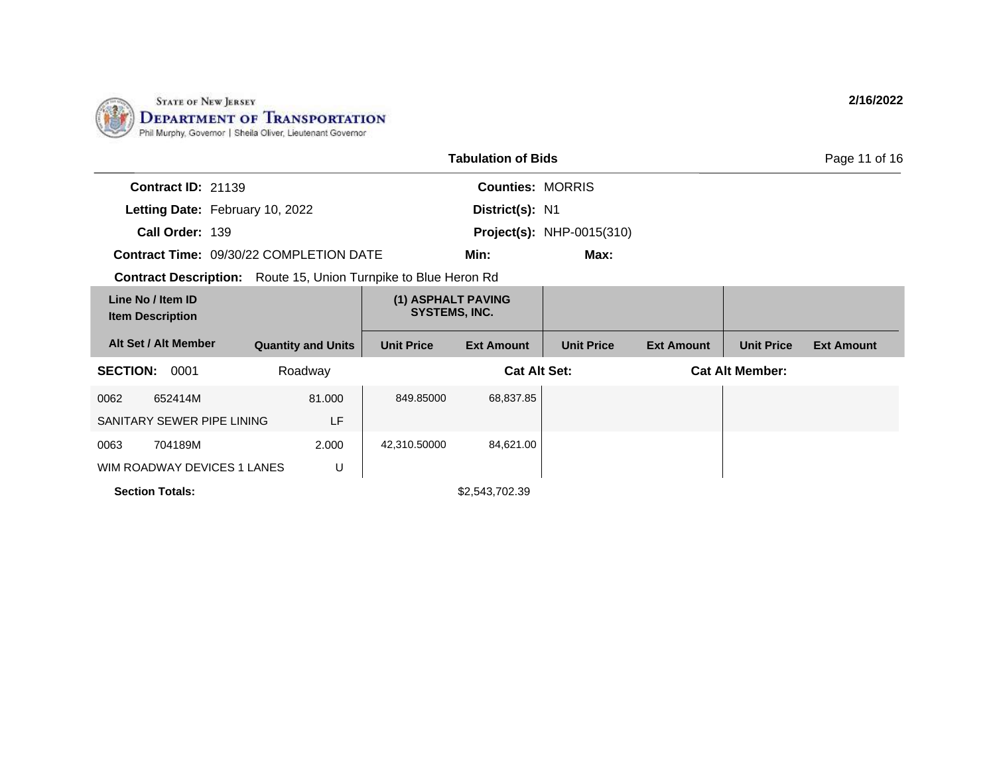

| <b>Tabulation of Bids</b><br>Page 11 of 16                             |                                            |                   |                         |                                  |                   |                        |                   |  |  |
|------------------------------------------------------------------------|--------------------------------------------|-------------------|-------------------------|----------------------------------|-------------------|------------------------|-------------------|--|--|
| Contract ID: 21139                                                     |                                            |                   | <b>Counties: MORRIS</b> |                                  |                   |                        |                   |  |  |
| Letting Date: February 10, 2022                                        |                                            |                   | District(s): N1         |                                  |                   |                        |                   |  |  |
| Call Order: 139                                                        |                                            |                   |                         | <b>Project(s):</b> NHP-0015(310) |                   |                        |                   |  |  |
| <b>Contract Time: 09/30/22 COMPLETION DATE</b>                         |                                            |                   | Min:                    | Max:                             |                   |                        |                   |  |  |
| <b>Contract Description:</b> Route 15, Union Turnpike to Blue Heron Rd |                                            |                   |                         |                                  |                   |                        |                   |  |  |
| Line No / Item ID<br><b>Item Description</b>                           | (1) ASPHALT PAVING<br><b>SYSTEMS, INC.</b> |                   |                         |                                  |                   |                        |                   |  |  |
| Alt Set / Alt Member                                                   | <b>Quantity and Units</b>                  | <b>Unit Price</b> | <b>Ext Amount</b>       | <b>Unit Price</b>                | <b>Ext Amount</b> | <b>Unit Price</b>      | <b>Ext Amount</b> |  |  |
| <b>SECTION:</b><br>0001                                                | Roadway                                    |                   | <b>Cat Alt Set:</b>     |                                  |                   | <b>Cat Alt Member:</b> |                   |  |  |
| 652414M<br>0062                                                        | 81.000                                     | 849.85000         | 68,837.85               |                                  |                   |                        |                   |  |  |
| SANITARY SEWER PIPE LINING                                             | LF                                         |                   |                         |                                  |                   |                        |                   |  |  |
| 0063<br>704189M                                                        | 2.000                                      | 42,310.50000      | 84,621.00               |                                  |                   |                        |                   |  |  |
| WIM ROADWAY DEVICES 1 LANES                                            | U                                          |                   |                         |                                  |                   |                        |                   |  |  |
| <b>Section Totals:</b>                                                 |                                            |                   | \$2,543,702.39          |                                  |                   |                        |                   |  |  |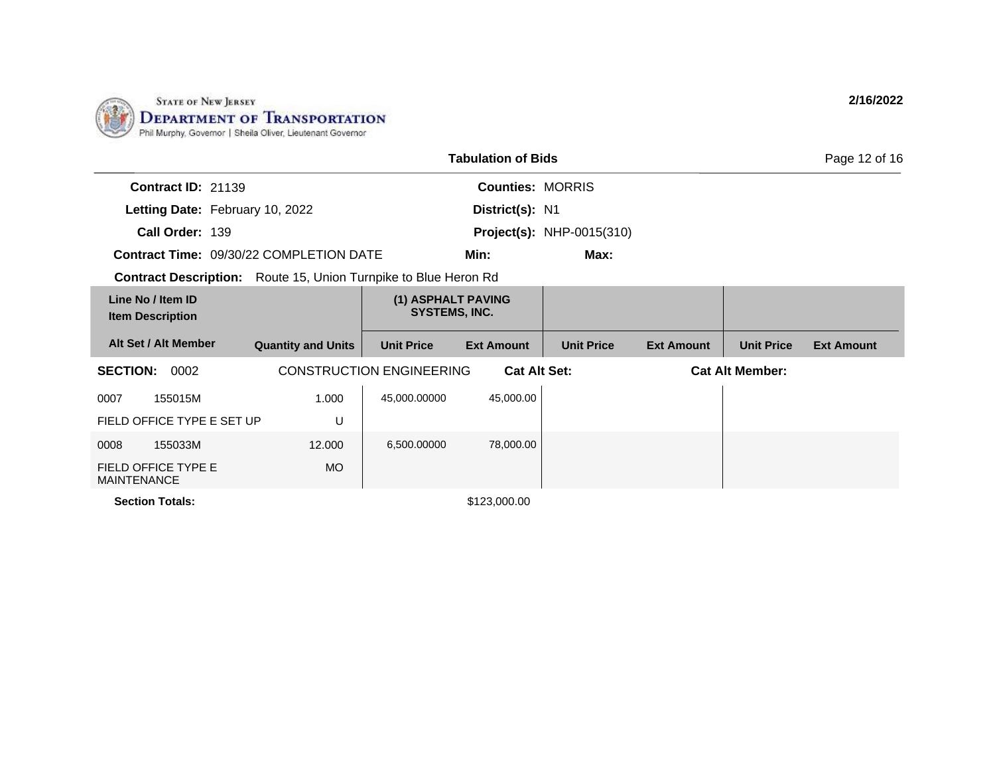

| <b>Tabulation of Bids</b><br>Page 12 of 16                             |                           |                                                        |                         |                                  |                        |                   |                   |  |  |
|------------------------------------------------------------------------|---------------------------|--------------------------------------------------------|-------------------------|----------------------------------|------------------------|-------------------|-------------------|--|--|
| Contract ID: 21139                                                     |                           |                                                        | <b>Counties: MORRIS</b> |                                  |                        |                   |                   |  |  |
| Letting Date: February 10, 2022                                        |                           |                                                        | District(s): N1         |                                  |                        |                   |                   |  |  |
| Call Order: 139                                                        |                           |                                                        |                         | <b>Project(s): NHP-0015(310)</b> |                        |                   |                   |  |  |
| <b>Contract Time: 09/30/22 COMPLETION DATE</b>                         |                           |                                                        | Min:                    | Max:                             |                        |                   |                   |  |  |
| <b>Contract Description:</b> Route 15, Union Turnpike to Blue Heron Rd |                           |                                                        |                         |                                  |                        |                   |                   |  |  |
| Line No / Item ID<br><b>Item Description</b>                           |                           | (1) ASPHALT PAVING<br><b>SYSTEMS, INC.</b>             |                         |                                  |                        |                   |                   |  |  |
| Alt Set / Alt Member                                                   | <b>Quantity and Units</b> | <b>Unit Price</b>                                      | <b>Ext Amount</b>       | <b>Unit Price</b>                | <b>Ext Amount</b>      | <b>Unit Price</b> | <b>Ext Amount</b> |  |  |
| <b>SECTION:</b><br>0002                                                |                           | <b>CONSTRUCTION ENGINEERING</b><br><b>Cat Alt Set:</b> |                         |                                  | <b>Cat Alt Member:</b> |                   |                   |  |  |
| 155015M<br>0007                                                        | 1.000                     | 45,000.00000                                           | 45,000.00               |                                  |                        |                   |                   |  |  |
| FIELD OFFICE TYPE E SET UP                                             | U                         |                                                        |                         |                                  |                        |                   |                   |  |  |
| 155033M<br>0008                                                        | 12,000                    | 6,500.00000                                            | 78,000.00               |                                  |                        |                   |                   |  |  |
| <b>FIELD OFFICE TYPE E</b><br><b>MAINTENANCE</b>                       | <b>MO</b>                 |                                                        |                         |                                  |                        |                   |                   |  |  |
| <b>Section Totals:</b>                                                 |                           |                                                        | \$123,000.00            |                                  |                        |                   |                   |  |  |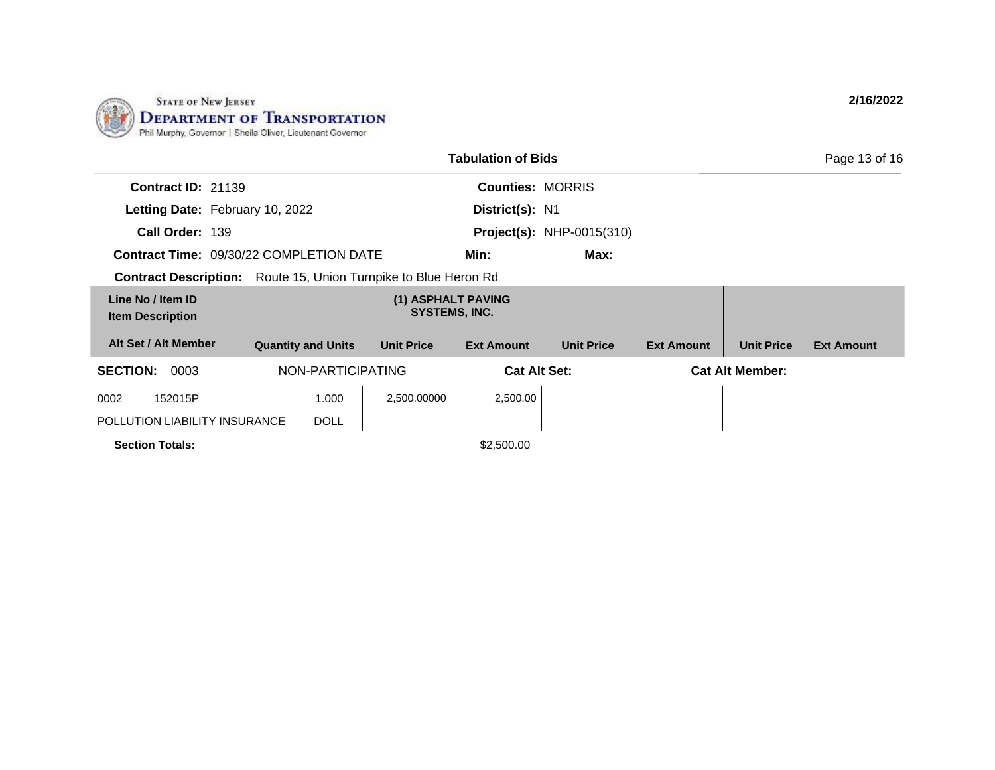

| <b>Tabulation of Bids</b><br>Page 13 of 16                      |                           |                   |                                            |                                  |                   |                        |                   |  |  |
|-----------------------------------------------------------------|---------------------------|-------------------|--------------------------------------------|----------------------------------|-------------------|------------------------|-------------------|--|--|
| <b>Contract ID: 21139</b>                                       |                           |                   | <b>Counties: MORRIS</b>                    |                                  |                   |                        |                   |  |  |
| Letting Date: February 10, 2022                                 |                           |                   | District(s): N1                            |                                  |                   |                        |                   |  |  |
| Call Order: 139                                                 |                           |                   |                                            | <b>Project(s): NHP-0015(310)</b> |                   |                        |                   |  |  |
| <b>Contract Time: 09/30/22 COMPLETION DATE</b>                  |                           | Min:              | Max:                                       |                                  |                   |                        |                   |  |  |
| Contract Description: Route 15, Union Turnpike to Blue Heron Rd |                           |                   |                                            |                                  |                   |                        |                   |  |  |
| Line No / Item ID<br><b>Item Description</b>                    |                           |                   | (1) ASPHALT PAVING<br><b>SYSTEMS, INC.</b> |                                  |                   |                        |                   |  |  |
| Alt Set / Alt Member                                            | <b>Quantity and Units</b> | <b>Unit Price</b> | <b>Ext Amount</b>                          | <b>Unit Price</b>                | <b>Ext Amount</b> | <b>Unit Price</b>      | <b>Ext Amount</b> |  |  |
| <b>SECTION:</b><br>NON-PARTICIPATING<br>0003                    |                           |                   | <b>Cat Alt Set:</b>                        |                                  |                   | <b>Cat Alt Member:</b> |                   |  |  |
| 152015P<br>0002                                                 | 1.000                     | 2,500.00000       | 2,500.00                                   |                                  |                   |                        |                   |  |  |
| POLLUTION LIABILITY INSURANCE                                   | <b>DOLL</b>               |                   |                                            |                                  |                   |                        |                   |  |  |
| <b>Section Totals:</b>                                          |                           |                   | \$2,500.00                                 |                                  |                   |                        |                   |  |  |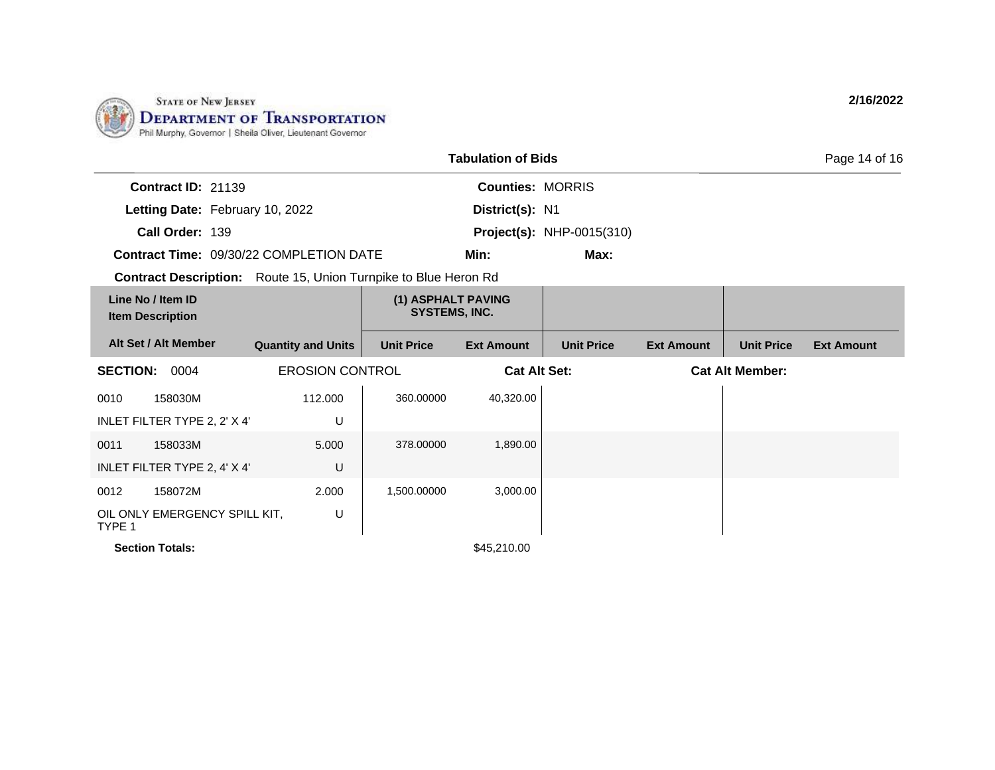

| <b>Tabulation of Bids</b><br>Page 14 of 16                             |                           |                                            |                         |                                  |                   |                        |                   |
|------------------------------------------------------------------------|---------------------------|--------------------------------------------|-------------------------|----------------------------------|-------------------|------------------------|-------------------|
| Contract ID: 21139                                                     |                           |                                            | <b>Counties: MORRIS</b> |                                  |                   |                        |                   |
| Letting Date: February 10, 2022                                        |                           |                                            | District(s): N1         |                                  |                   |                        |                   |
| Call Order: 139                                                        |                           |                                            |                         | <b>Project(s): NHP-0015(310)</b> |                   |                        |                   |
| <b>Contract Time: 09/30/22 COMPLETION DATE</b>                         |                           |                                            | Min:                    | Max:                             |                   |                        |                   |
| <b>Contract Description:</b> Route 15, Union Turnpike to Blue Heron Rd |                           |                                            |                         |                                  |                   |                        |                   |
| Line No / Item ID<br><b>Item Description</b>                           |                           | (1) ASPHALT PAVING<br><b>SYSTEMS, INC.</b> |                         |                                  |                   |                        |                   |
| Alt Set / Alt Member                                                   | <b>Quantity and Units</b> | <b>Unit Price</b>                          | <b>Ext Amount</b>       | <b>Unit Price</b>                | <b>Ext Amount</b> | <b>Unit Price</b>      | <b>Ext Amount</b> |
| <b>SECTION:</b><br>0004                                                | <b>EROSION CONTROL</b>    |                                            | <b>Cat Alt Set:</b>     |                                  |                   | <b>Cat Alt Member:</b> |                   |
| 158030M<br>0010                                                        | 112,000                   | 360.00000                                  | 40,320.00               |                                  |                   |                        |                   |
| INLET FILTER TYPE 2, 2' X 4'                                           | U                         |                                            |                         |                                  |                   |                        |                   |
| 158033M<br>0011                                                        | 5.000                     | 378.00000                                  | 1,890.00                |                                  |                   |                        |                   |
| INLET FILTER TYPE 2, 4' X 4'                                           | U                         |                                            |                         |                                  |                   |                        |                   |
| 158072M<br>0012                                                        | 2.000                     | 1,500.00000                                | 3,000.00                |                                  |                   |                        |                   |
| OIL ONLY EMERGENCY SPILL KIT,<br>TYPE 1                                | U                         |                                            |                         |                                  |                   |                        |                   |
| <b>Section Totals:</b>                                                 |                           |                                            | \$45,210.00             |                                  |                   |                        |                   |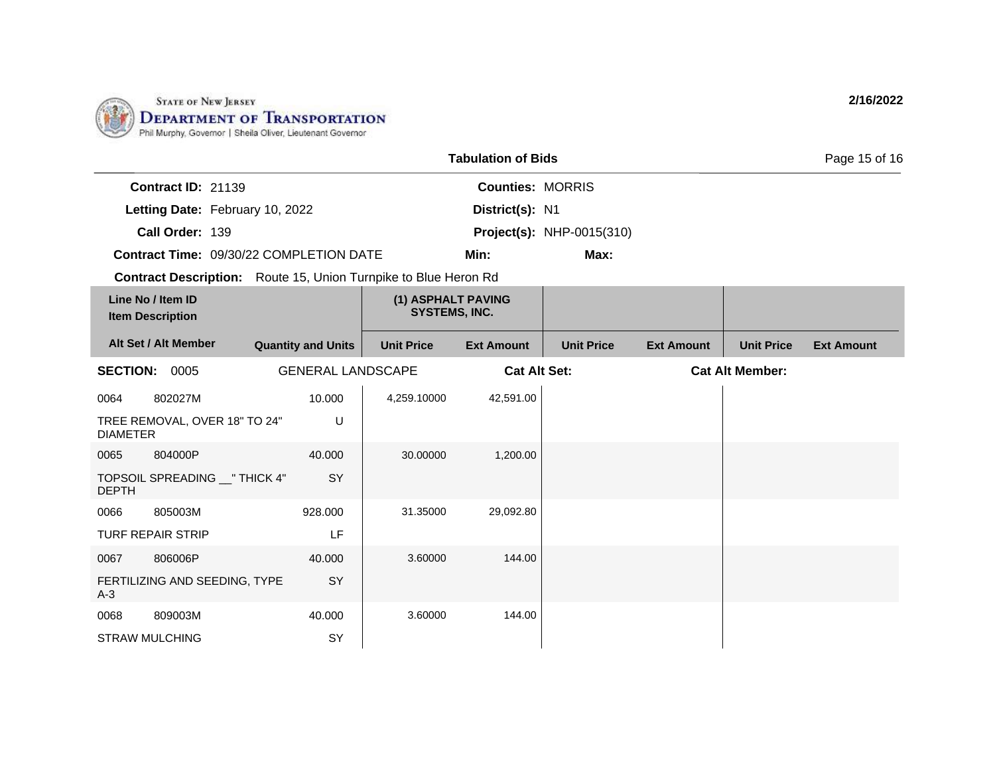

|                 |                                              |                           |                                                                        | <b>Tabulation of Bids</b> |                                  |                   |                        | Page 15 of 16     |
|-----------------|----------------------------------------------|---------------------------|------------------------------------------------------------------------|---------------------------|----------------------------------|-------------------|------------------------|-------------------|
|                 | Contract ID: 21139                           |                           |                                                                        | <b>Counties: MORRIS</b>   |                                  |                   |                        |                   |
|                 | Letting Date: February 10, 2022              |                           |                                                                        | District(s): N1           |                                  |                   |                        |                   |
|                 | Call Order: 139                              |                           |                                                                        |                           | <b>Project(s): NHP-0015(310)</b> |                   |                        |                   |
|                 | Contract Time: 09/30/22 COMPLETION DATE      |                           |                                                                        | Min:                      | Max:                             |                   |                        |                   |
|                 |                                              |                           | <b>Contract Description:</b> Route 15, Union Turnpike to Blue Heron Rd |                           |                                  |                   |                        |                   |
|                 | Line No / Item ID<br><b>Item Description</b> |                           | (1) ASPHALT PAVING<br><b>SYSTEMS, INC.</b>                             |                           |                                  |                   |                        |                   |
|                 | Alt Set / Alt Member                         | <b>Quantity and Units</b> | <b>Unit Price</b>                                                      | <b>Ext Amount</b>         | <b>Unit Price</b>                | <b>Ext Amount</b> | <b>Unit Price</b>      | <b>Ext Amount</b> |
|                 | <b>SECTION: 0005</b>                         | <b>GENERAL LANDSCAPE</b>  |                                                                        | <b>Cat Alt Set:</b>       |                                  |                   | <b>Cat Alt Member:</b> |                   |
| 0064            | 802027M                                      | 10.000                    | 4,259.10000                                                            | 42,591.00                 |                                  |                   |                        |                   |
| <b>DIAMETER</b> | TREE REMOVAL, OVER 18" TO 24"                | U                         |                                                                        |                           |                                  |                   |                        |                   |
| 0065            | 804000P                                      | 40.000                    | 30.00000                                                               | 1,200.00                  |                                  |                   |                        |                   |
| <b>DEPTH</b>    | TOPSOIL SPREADING __ " THICK 4"              | SY                        |                                                                        |                           |                                  |                   |                        |                   |
| 0066            | 805003M                                      | 928.000                   | 31.35000                                                               | 29,092.80                 |                                  |                   |                        |                   |
|                 | <b>TURF REPAIR STRIP</b>                     | LF                        |                                                                        |                           |                                  |                   |                        |                   |
| 0067            | 806006P                                      | 40,000                    | 3.60000                                                                | 144.00                    |                                  |                   |                        |                   |
| $A-3$           | FERTILIZING AND SEEDING, TYPE                | SY                        |                                                                        |                           |                                  |                   |                        |                   |
| 0068            | 809003M                                      | 40.000                    | 3.60000                                                                | 144.00                    |                                  |                   |                        |                   |
|                 | <b>STRAW MULCHING</b>                        | SY                        |                                                                        |                           |                                  |                   |                        |                   |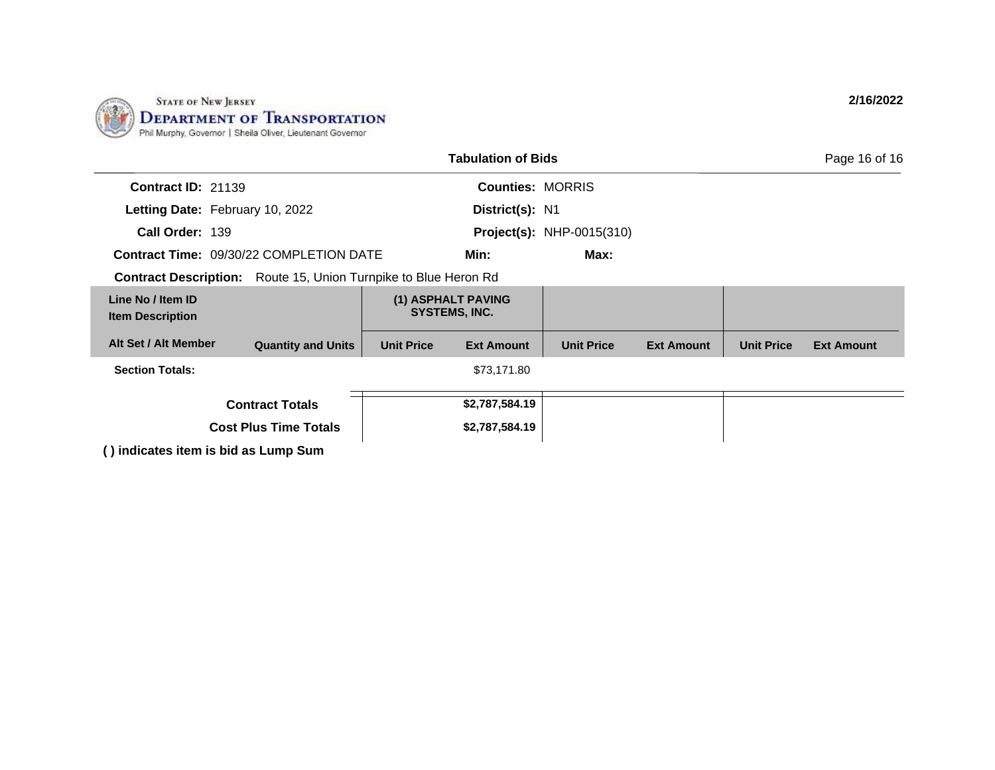

|                                                                        |                                     | <b>Tabulation of Bids</b> |                                  |                   |                   | Page 16 of 16     |  |  |
|------------------------------------------------------------------------|-------------------------------------|---------------------------|----------------------------------|-------------------|-------------------|-------------------|--|--|
| <b>Contract ID: 21139</b>                                              |                                     | <b>Counties: MORRIS</b>   |                                  |                   |                   |                   |  |  |
| Letting Date: February 10, 2022                                        |                                     | District(s): N1           |                                  |                   |                   |                   |  |  |
| Call Order: 139                                                        |                                     |                           | <b>Project(s): NHP-0015(310)</b> |                   |                   |                   |  |  |
| <b>Contract Time: 09/30/22 COMPLETION DATE</b>                         |                                     | Min:                      | Max:                             |                   |                   |                   |  |  |
| <b>Contract Description:</b> Route 15, Union Turnpike to Blue Heron Rd |                                     |                           |                                  |                   |                   |                   |  |  |
| Line No / Item ID<br><b>Item Description</b>                           | (1) ASPHALT PAVING<br>SYSTEMS, INC. |                           |                                  |                   |                   |                   |  |  |
| Alt Set / Alt Member<br><b>Quantity and Units</b>                      | <b>Unit Price</b>                   | <b>Ext Amount</b>         | <b>Unit Price</b>                | <b>Ext Amount</b> | <b>Unit Price</b> | <b>Ext Amount</b> |  |  |
| <b>Section Totals:</b>                                                 |                                     | \$73,171.80               |                                  |                   |                   |                   |  |  |
| <b>Contract Totals</b>                                                 |                                     | \$2,787,584.19            |                                  |                   |                   |                   |  |  |
| <b>Cost Plus Time Totals</b>                                           |                                     | \$2,787,584.19            |                                  |                   |                   |                   |  |  |
| () indicates item is bid as Lump Sum                                   |                                     |                           |                                  |                   |                   |                   |  |  |